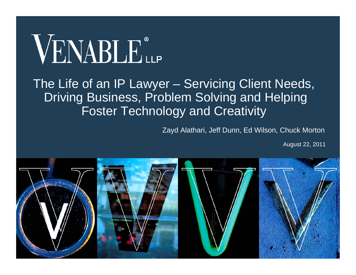# VENABLE®

#### The Life of an IP Lawyer – Servicing Client Needs, Driving Business, Problem Solving and Helping Foster Technology and Creativity

Zayd Alathari, Jeff Dunn, Ed Wilson, Chuck Morton

August 22, 2011

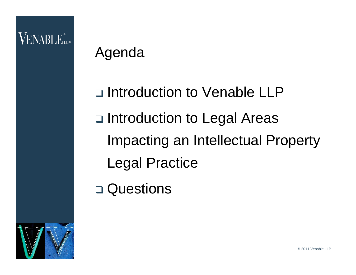#### **VENABLE** LLP

#### Agenda

□ Introduction to Venable LLP □ Introduction to Legal Areas Impacting an Intellectual Property Legal Practice

□ Questions

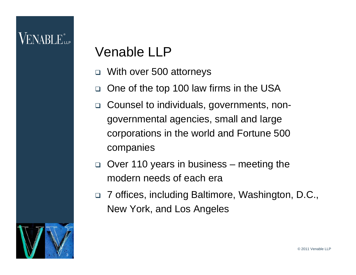#### Venable LLP

- $\Box$ With over 500 attorneys
- $\Box$ One of the top 100 law firms in the USA
- $\Box$  Counsel to individuals, governments, nongovernmental agencies, small and large corporations in the world and Fortune 500 companies
- $\Box$  Over 110 years in business – meeting the modern needs of each era
- □ 7 offices, including Baltimore, Washington, D.C., New York, and Los Angeles

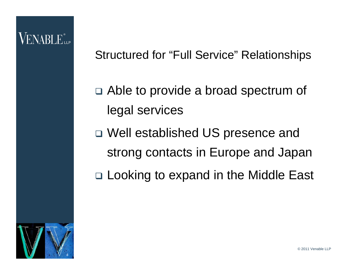#### VENABLE"...

Structured for "Full Service" Relationships

- □ Able to provide a broad spectrum of legal services
- Well established US presence and strong contacts in Europe and Japan
- □ Looking to expand in the Middle East

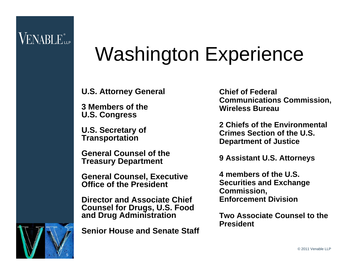#### VENABLE...

## Washington Experience

**U.S. Attorney General**

**3 Members of the U.S. Congress**

**U.S. Secretary of Transportation**

**General Counsel of the Treasury Department**

**General Counsel, Executive Office of the President**

**Director and Associate Chief Counsel for Drugs, U.S. Food and Drug Administration**

**Senior House and Senate Staff**

**Chief of Federal Communications Commission, Wireless Bureau**

**2 Chiefs of the Environmental Crimes Section of the U.S. Department of Justice**

**9 Assistant U.S. Attorneys**

**4 members of the U.S. Securities and Exchange Commission, Enforcement Division**

**Two Associate Counsel to the President**



© 2011 Venable LLP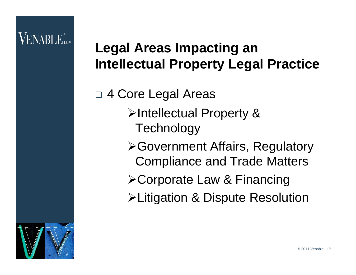#### **Legal Areas Impacting an Intellectual Property Legal Practice**

 4 Core Legal Areas ¾Intellectual Property & **Technology** ¾Government Affairs, Regulatory Compliance and Trade Matters ¾Corporate Law & Financing ¾Litigation & Dispute Resolution

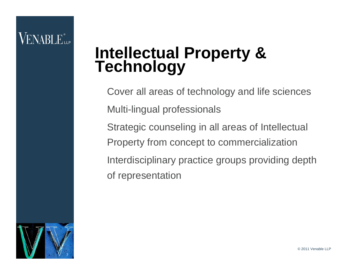#### VENABLE"...

# **Intellectual Property & Technology**

Cover all areas of technology and life sciences Multi-lingual professionals Strategic counseling in all areas of Intellectual Property from concept to commercialization Interdisciplinary practice groups providing depth of representation

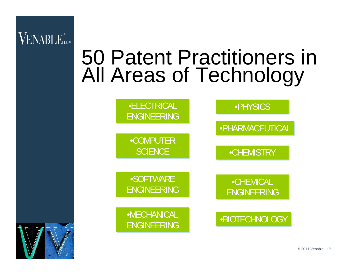

## 50 Patent Practitioners in All Areas of Technology





© 2011 Venable LLP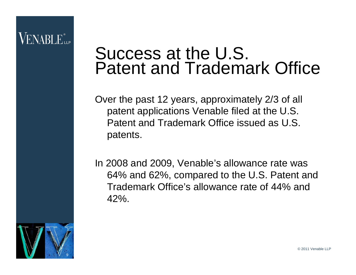#### ENABLE.

#### Success at the U.S. Patent and Trademark Office

Over the past 12 years, approximately 2/3 of all patent applications Venable filed at the U.S. Patent and Trademark Office issued as U.S. patents.

In 2008 and 2009, Venable's allowance rate was 64% and 62%, compared to the U.S. Patent and Trademark Office's allowance rate of 44% and  $42%$ 

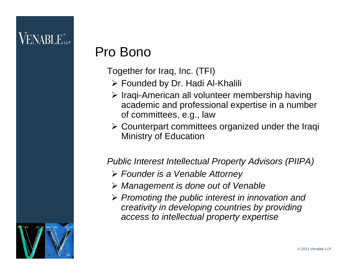#### $\mathsf{VENABI}\, \mathsf{E}_{\mathsf{up}}^*$

#### Pro Bono

Together for Iraq, Inc. (TFI)

- ¾ Founded by Dr. Hadi Al-Khalili
- ¾ Iraqi-American all volunteer membership having academic and professional expertise in a number of committees, e.g., law
- ¾ Counterpart committees organized under the Iraqi Ministry of Education

#### *Public Interest Intellectual Property Advisors (PIIPA)*

- ¾ *Founder is a Venable Attorney*
- ¾ *Management is done out of Venable*
- ¾ *Promoting the public interest in innovation and creativity in developing countries by providing access to intellectual property expertise*

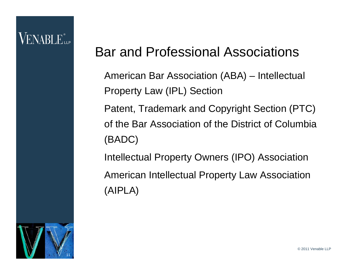#### VENABLE"

#### Bar and Professional Associations

American Bar Association (ABA) – Intellectual Property Law (IPL) Section Patent, Trademark and Copyright Section (PTC) of the Bar Association of the District of Columbia (BADC) Intellectual Property Owners (IPO) Association American Intellectual Property Law Association (AIPLA)

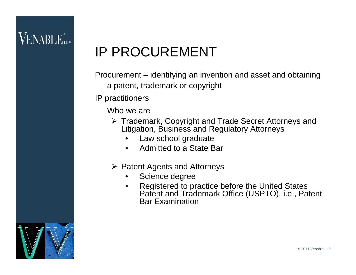#### VENABLE...

#### IP PROCUREMENT

Procurement – identifying an invention and asset and obtaining a patent, trademark or copyright

IP practitioners

Who we are

- ¾ Trademark, Copyright and Trade Secret Attorneys and Litigation, Business and Regulatory Attorneys
	- •Law school graduate
	- •Admitted to a State Bar
- ¾ Patent Agents and Attorneys
	- $\bullet$ Science degree
	- • Registered to practice before the United States Patent and Trademark Office (USPTO), i.e., Patent Bar Examination

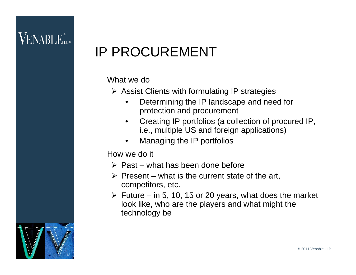#### IP PROCUREMENT

#### What we do

- $\triangleright$  Assist Clients with formulating IP strategies
	- $\bullet$  Determining the IP landscape and need for protection and procurement
	- $\bullet$  Creating IP portfolios (a collection of procured IP, i.e., multiple US and foreign applications)
	- •Managing the IP portfolios

#### How we do it

- $\triangleright$  Past what has been done before
- $\triangleright$  Present what is the current state of the art, competitors, etc.
- $\triangleright$  Future in 5, 10, 15 or 20 years, what does the market look like, who are the players and what might the technology be

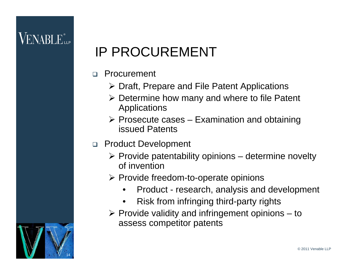#### IP PROCUREMENT

- $\Box$  Procurement
	- ¾ Draft, Prepare and File Patent Applications
	- $\triangleright$  Determine how many and where to file Patent Applications
	- $\triangleright$  Prosecute cases Examination and obtaining issued Patents
- □ Product Development
	- $\triangleright$  Provide patentability opinions determine novelty of invention
	- $\triangleright$  Provide freedom-to-operate opinions
		- $\bullet$ Product - research, analysis and development
		- •Risk from infringing third-party rights
	- $\triangleright$  Provide validity and infringement opinions  $-$  to assess competitor patents

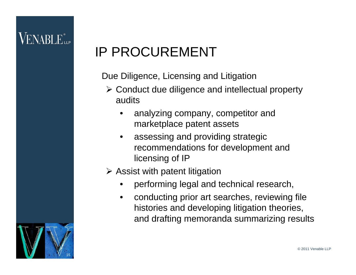#### IP PROCUREMENT

Due Diligence, Licensing and Litigation

- ¾ Conduct due diligence and intellectual property audits
	- • analyzing company, competitor and marketplace patent assets
	- • assessing and providing strategic recommendations for development and licensing of IP

#### $\triangleright$  Assist with patent litigation

- •performing legal and technical research,
- $\bullet$  conducting prior art searches, reviewing file histories and developing litigation theories, and drafting memoranda summarizing results

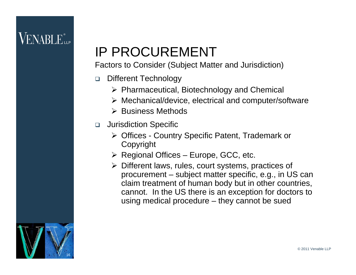#### IP PROCUREMENT

Factors to Consider (Subject Matter and Jurisdiction)

- $\Box$  Different Technology
	- ¾ Pharmaceutical, Biotechnology and Chemical
	- ¾ Mechanical/device, electrical and computer/software
	- ¾ Business Methods
- Jurisdiction Specific
	- ¾ Offices Country Specific Patent, Trademark or Copyright
	- $\triangleright$  Regional Offices Europe, GCC, etc.
	- ¾ Different laws, rules, court systems, practices of procurement – subject matter specific, e.g., in US can claim treatment of human body but in other countries, cannot. In the US there is an exception for doctors to using medical procedure – they cannot be sued

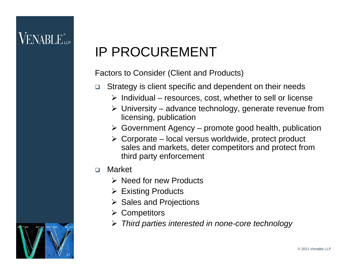#### VENABLE...

#### IP PROCUREMENT

Factors to Consider (Client and Products)

- $\Box$  Strategy is client specific and dependent on their needs
	- $\triangleright$  Individual resources, cost, whether to sell or license
	- $\triangleright$  University advance technology, generate revenue from licensing, publication
	- $\triangleright$  Government Agency promote good health, publication
	- $\triangleright$  Corporate local versus worldwide, protect product sales and markets, deter competitors and protect from third party enforcement
- $\Box$  Market
	- $\triangleright$  Need for new Products
	- $\triangleright$  Existing Products
	- $\triangleright$  Sales and Projections
	- ¾ Competitors
	- ¾ *Third parties interested in none-core technology*

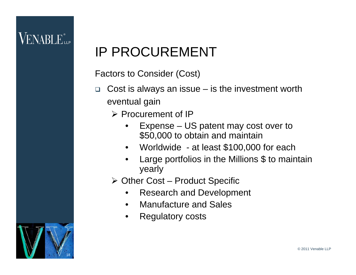#### IP PROCUREMENT

Factors to Consider (Cost)

- $\Box$  Cost is always an issue – is the investment worth eventual gain
	- ¾ Procurement of IP
		- • Expense – US patent may cost over to \$50,000 to obtain and maintain
		- $\bullet$ Worldwide - at least \$100,000 for each
		- • Large portfolios in the Millions \$ to maintain yearly
	- ¾ Other Cost Product Specific
		- •Research and Development
		- •Manufacture and Sales
		- •Regulatory costs

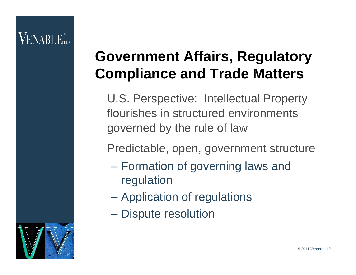#### **Government Affairs, Regulatory Compliance and Trade Matters**

U.S. Perspective: Intellectual Property flourishes in structured environments governed by the rule of law

Predictable, open, government structure

- Formation of governing laws and regulation
- Application of regulations
- Dispute resolution

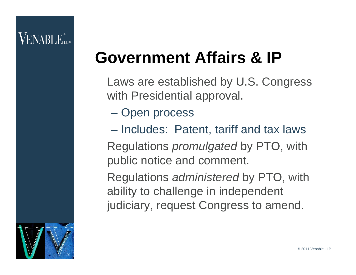#### VENABLE"

#### **Government Affairs & IP**

- Laws are established by U.S. Congress with Presidential approval.
	- Open process
- Includes: Patent, tariff and tax laws Regulations *promulgated* by PTO, with public notice and comment.

Regulations *administered* by PTO, with ability to challenge in independent judiciary, request Congress to amend.

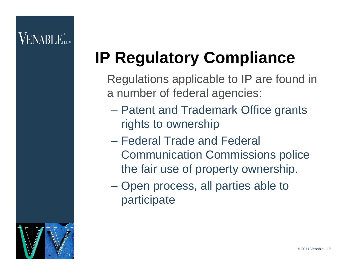## **IP Regulatory Compliance**

Regulations applicable to IP are found in a number of federal agencies:

- Patent and Trademark Office grants rights to ownership
- Federal Trade and Federal Communication Commissions police the fair use of property ownership.
- Open process, all parties able to participate

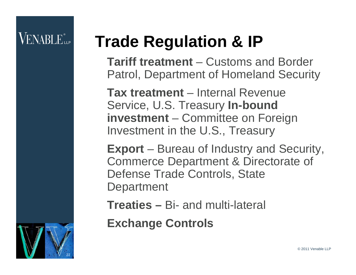#### VENABLE"...

## **Trade Regulation & IP**

**Tariff treatment** – Customs and Border Patrol, Department of Homeland Security

**Tax treatment** – Internal Revenue Service, U.S. Treasury **In-bound investment** – Committee on Foreign Investment in the U.S., Treasury

**Export** – Bureau of Industry and Security, Commerce Department & Directorate of Defense Trade Controls, State **Department** 

**Treaties –** Bi- and multi-lateral

**Exchange Controls**

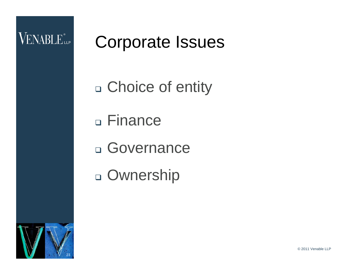

## Corporate Issues

- □ Choice of entity
- Finance
- Governance
- □ Ownership

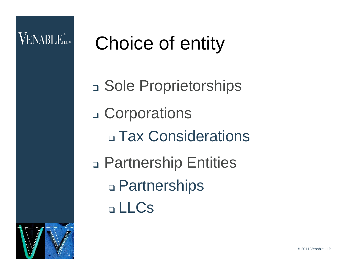#### **VENABLE** LLP

## Choice of entity

□ Sole Proprietorships □ Corporations □ Tax Considerations □ Partnership Entities Partnerships LLCs

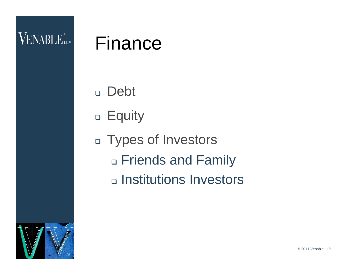#### Finance

Debt

- □ Equity
- Types of Investors □ Friends and Family □ Institutions Investors

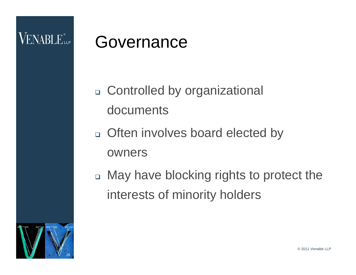#### **VENABLE** LLP

#### Governance

- Controlled by organizational documents
- Often involves board elected by owners
- □ May have blocking rights to protect the interests of minority holders

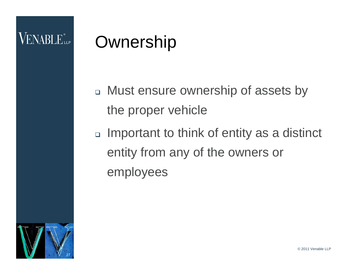## **Ownership**

- □ Must ensure ownership of assets by the proper vehicle
- □ Important to think of entity as a distinct entity from any of the owners or employees

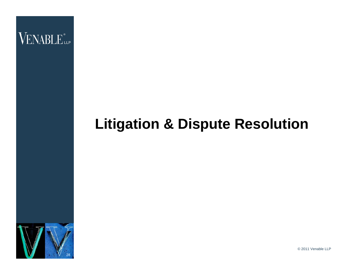

#### **Litigation & Dispute Resolution**



© 2011 Venable LLP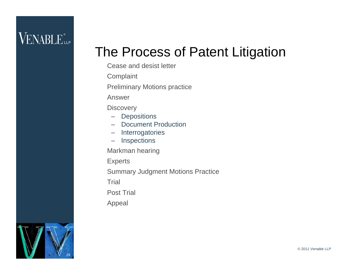#### **VENABLE** LLP

#### The Process of Patent Litigation

- Cease and desist letter
- **Complaint**
- Preliminary Motions practice
- Answer
- **Discovery** 
	- Depositions
- Document Production
- Interrogatories
- –Inspections
- Markman hearing
- **Experts**
- Summary Judgment Motions Practice
- **Trial**
- Post Trial
- Appeal

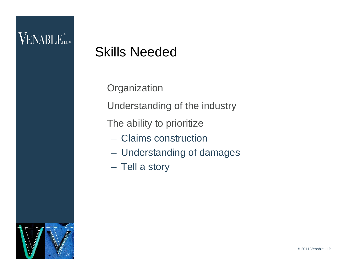#### **VENABLE** LLP

#### Skills Needed

**Organization** 

Understanding of the industry

The ability to prioritize

- Claims construction
- Understanding of damages
- Tell a story

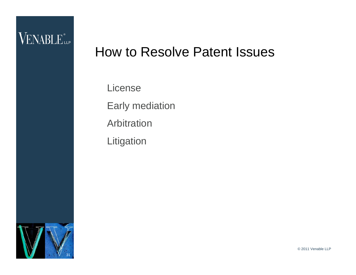#### VENABLE<sup>®</sup>LLP

#### How to Resolve Patent Issues

License Early mediation Arbitration **Litigation** 



© 2011 Venable LLP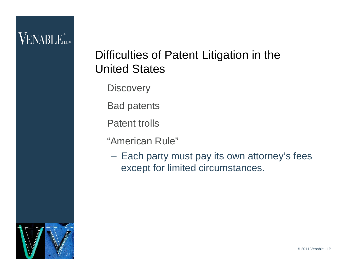#### **VENABLE** LLP

#### Difficulties of Patent Litigation in the United States

**Discovery** 

Bad patents

Patent trolls

"American Rule"

 Each party must pay its own attorney's fees except for limited circumstances.

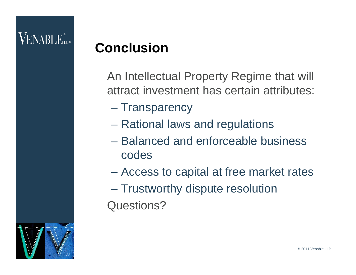#### VENABLE"...

#### **Conclusion**

- An Intellectual Property Regime that will attract investment has certain attributes:
	- **Transparency**
	- Rational laws and regulations
	- Balanced and enforceable business codes
	- Access to capital at free market rates
- Trustworthy dispute resolution Questions?

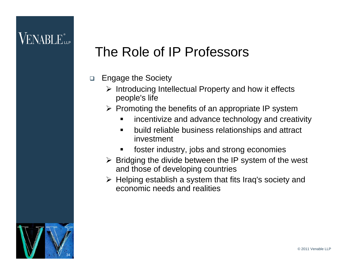#### The Role of IP Professors

- $\Box$  Engage the Society
	- $\triangleright$  Introducing Intellectual Property and how it effects people's life
	- $\triangleright$  Promoting the benefits of an appropriate IP system
		- $\blacksquare$ incentivize and advance technology and creativity
		- $\blacksquare$  build reliable business relationships and attract investment
		- $\blacksquare$ foster industry, jobs and strong economies
	- $\triangleright$  Bridging the divide between the IP system of the west and those of developing countries
	- ¾ Helping establish a system that fits Iraq's society and economic needs and realities

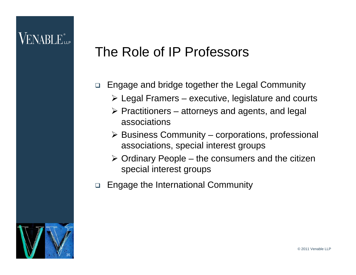#### The Role of IP Professors

- $\Box$  Engage and bridge together the Legal Community
	- $\triangleright$  Legal Framers executive, legislature and courts
	- $\triangleright$  Practitioners attorneys and agents, and legal associations
	- $\triangleright$  Business Community corporations, professional associations, special interest groups
	- $\triangleright$  Ordinary People the consumers and the citizen special interest groups
- $\Box$ Engage the International Community

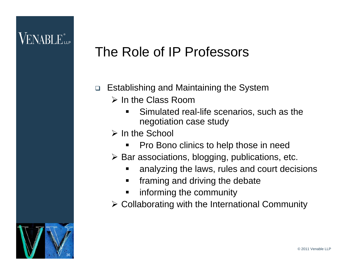#### VENABLE...

#### The Role of IP Professors

- $\Box$  Establishing and Maintaining the System
	- $\triangleright$  In the Class Room
		- $\blacksquare$  Simulated real-life scenarios, such as the negotiation case study
	- ¾ In the School
		- П Pro Bono clinics to help those in need
	- $\triangleright$  Bar associations, blogging, publications, etc.
		- П analyzing the laws, rules and court decisions
		- $\blacksquare$ framing and driving the debate
		- п informing the community
	- $\triangleright$  Collaborating with the International Community